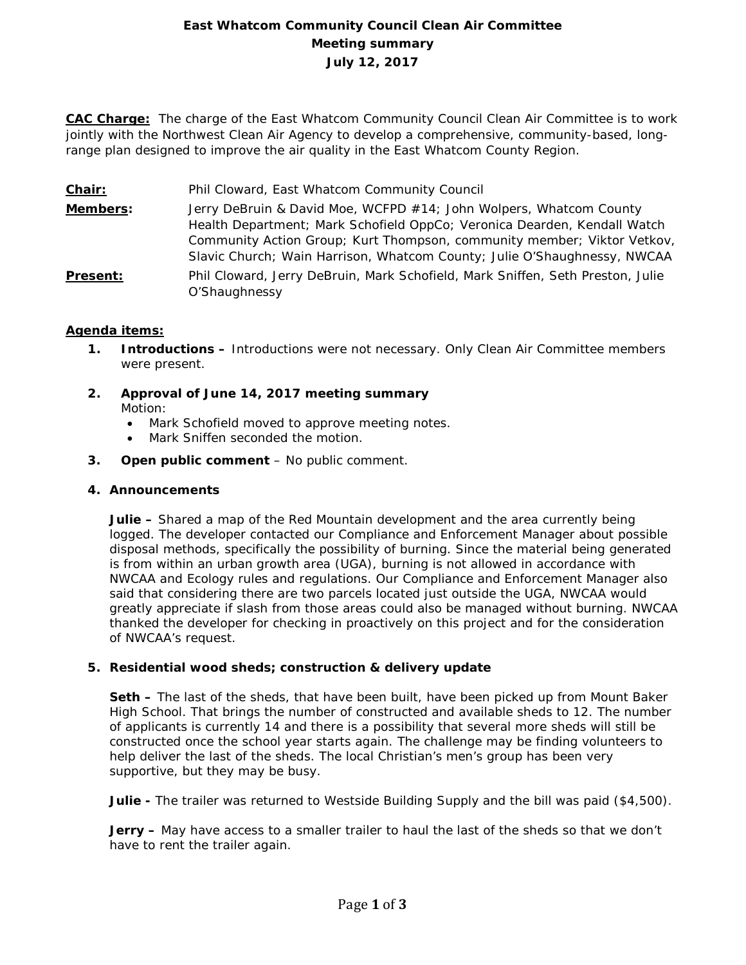# **East Whatcom Community Council Clean Air Committee Meeting summary July 12, 2017**

**CAC Charge:** The charge of the East Whatcom Community Council Clean Air Committee is to work jointly with the Northwest Clean Air Agency to develop a comprehensive, community-based, longrange plan designed to improve the air quality in the East Whatcom County Region.

- **Chair:** Phil Cloward, East Whatcom Community Council
- **Members:** Jerry DeBruin & David Moe, WCFPD #14; John Wolpers, Whatcom County Health Department; Mark Schofield OppCo; Veronica Dearden, Kendall Watch Community Action Group; Kurt Thompson, community member; Viktor Vetkov, Slavic Church; Wain Harrison, Whatcom County; Julie O'Shaughnessy, NWCAA
- **Present:** Phil Cloward, Jerry DeBruin, Mark Schofield, Mark Sniffen, Seth Preston, Julie O'Shaughnessy

### **Agenda items:**

- **1. Introductions –** Introductions were not necessary. Only Clean Air Committee members were present.
- **2. Approval of June 14, 2017 meeting summary** Motion:
	- Mark Schofield moved to approve meeting notes.
	- Mark Sniffen seconded the motion.
- **3. Open public comment**  No public comment.

#### **4. Announcements**

**Julie –** Shared a map of the Red Mountain development and the area currently being logged. The developer contacted our Compliance and Enforcement Manager about possible disposal methods, specifically the possibility of burning. Since the material being generated is from within an urban growth area (UGA), burning is not allowed in accordance with NWCAA and Ecology rules and regulations. Our Compliance and Enforcement Manager also said that considering there are two parcels located just outside the UGA, NWCAA would greatly appreciate if slash from those areas could also be managed without burning. NWCAA thanked the developer for checking in proactively on this project and for the consideration of NWCAA's request.

#### **5. Residential wood sheds; construction & delivery update**

**Seth –** The last of the sheds, that have been built, have been picked up from Mount Baker High School. That brings the number of constructed and available sheds to 12. The number of applicants is currently 14 and there is a possibility that several more sheds will still be constructed once the school year starts again. The challenge may be finding volunteers to help deliver the last of the sheds. The local Christian's men's group has been very supportive, but they may be busy.

**Julie -** The trailer was returned to Westside Building Supply and the bill was paid (\$4,500).

**Jerry –** May have access to a smaller trailer to haul the last of the sheds so that we don't have to rent the trailer again.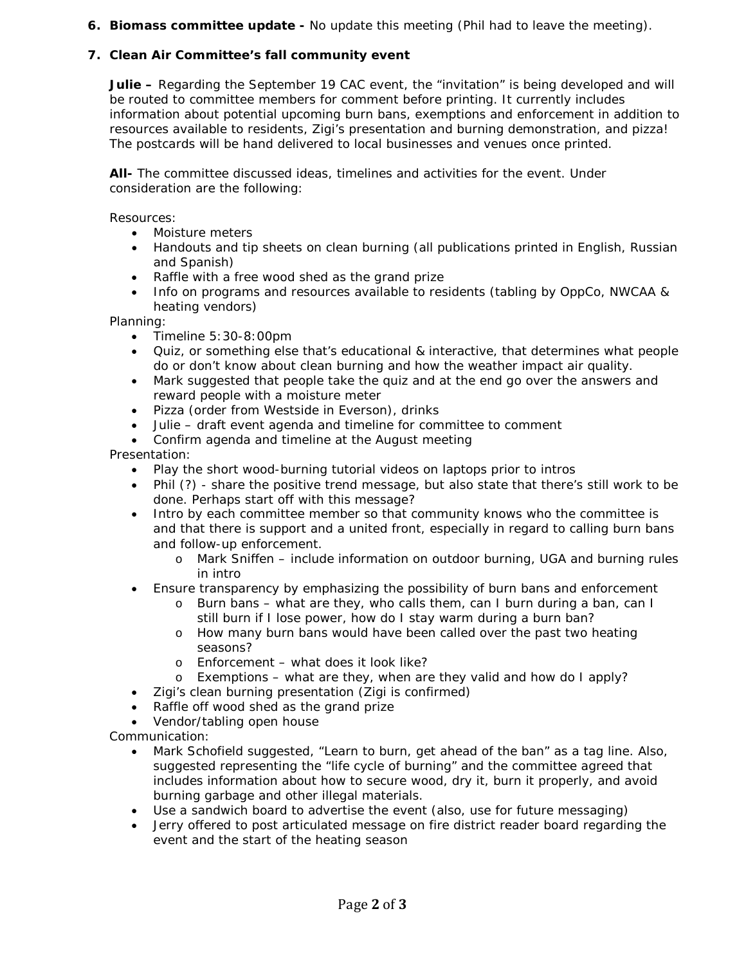## **6. Biomass committee update -** No update this meeting (Phil had to leave the meeting).

## **7. Clean Air Committee's fall community event**

**Julie –** Regarding the September 19 CAC event, the "invitation" is being developed and will be routed to committee members for comment before printing. It currently includes information about potential upcoming burn bans, exemptions and enforcement in addition to resources available to residents, Zigi's presentation and burning demonstration, and pizza! The postcards will be hand delivered to local businesses and venues once printed.

**All-** The committee discussed ideas, timelines and activities for the event. Under consideration are the following:

Resources:

- Moisture meters
- Handouts and tip sheets on clean burning (all publications printed in English, Russian and Spanish)
- Raffle with a free wood shed as the grand prize
- Info on programs and resources available to residents (tabling by OppCo, NWCAA & heating vendors)

Planning:

- Timeline 5:30-8:00pm
- Quiz, or something else that's educational & interactive, that determines what people do or don't know about clean burning and how the weather impact air quality.
- Mark suggested that people take the quiz and at the end go over the answers and reward people with a moisture meter
- Pizza (order from Westside in Everson), drinks
- Julie draft event agenda and timeline for committee to comment
- Confirm agenda and timeline at the August meeting

Presentation:

- Play the short wood-burning tutorial videos on laptops prior to intros
- Phil (?) share the positive trend message, but also state that there's still work to be done. Perhaps start off with this message?
- Intro by each committee member so that community knows who the committee is and that there is support and a united front, especially in regard to calling burn bans and follow-up enforcement.
	- o Mark Sniffen include information on outdoor burning, UGA and burning rules in intro
- Ensure transparency by emphasizing the possibility of burn bans and enforcement
	- o Burn bans what are they, who calls them, can I burn during a ban, can I still burn if I lose power, how do I stay warm during a burn ban?
	- o How many burn bans would have been called over the past two heating seasons?
	- o Enforcement what does it look like?
	- o Exemptions what are they, when are they valid and how do I apply?
- Zigi's clean burning presentation (Zigi is confirmed)
- Raffle off wood shed as the grand prize
- Vendor/tabling open house

Communication:

- Mark Schofield suggested, "Learn to burn, get ahead of the ban" as a tag line. Also, suggested representing the "life cycle of burning" and the committee agreed that includes information about how to secure wood, dry it, burn it properly, and avoid burning garbage and other illegal materials.
- Use a sandwich board to advertise the event (also, use for future messaging)
- Jerry offered to post articulated message on fire district reader board regarding the event and the start of the heating season